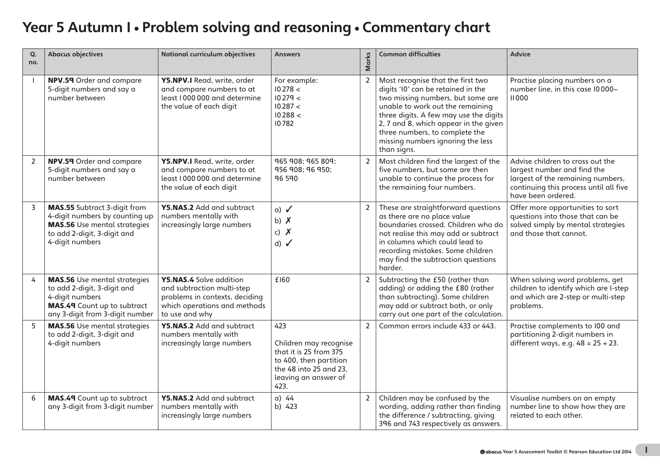# Year 5 Autumn I · Problem solving and reasoning · Commentary chart

| Q.<br>no.      | <b>Abacus objectives</b>                                                                                                                                       | <b>National curriculum objectives</b>                                                                                                     | <b>Answers</b>                                                                                                                              | Marks          | <b>Common difficulties</b>                                                                                                                                                                                                                                                                                                | <b>Advice</b>                                                                                                                                                        |
|----------------|----------------------------------------------------------------------------------------------------------------------------------------------------------------|-------------------------------------------------------------------------------------------------------------------------------------------|---------------------------------------------------------------------------------------------------------------------------------------------|----------------|---------------------------------------------------------------------------------------------------------------------------------------------------------------------------------------------------------------------------------------------------------------------------------------------------------------------------|----------------------------------------------------------------------------------------------------------------------------------------------------------------------|
| $\overline{1}$ | NPV.59 Order and compare<br>5-digit numbers and say a<br>number between                                                                                        | Y5.NPV.I Read, write, order<br>and compare numbers to at<br>least 1000 000 and determine<br>the value of each digit                       | For example:<br>10278 <<br>10279 <<br>10287 <<br>10288 <<br>10782                                                                           | $\overline{2}$ | Most recognise that the first two<br>digits 'I0' can be retained in the<br>two missing numbers, but some are<br>unable to work out the remaining<br>three digits. A few may use the digits<br>2, 7 and 8, which appear in the given<br>three numbers, to complete the<br>missing numbers ignoring the less<br>than signs. | Practise placing numbers on a<br>number line, in this case 10000-<br><b>II000</b>                                                                                    |
| $\overline{2}$ | NPV.59 Order and compare<br>5-digit numbers and say a<br>number between                                                                                        | Y5.NPV.I Read, write, order<br>and compare numbers to at<br>least 1000 000 and determine<br>the value of each digit                       | 965 908; 965 809;<br>956 908; 96 950;<br>96 590                                                                                             | 2              | Most children find the largest of the<br>five numbers, but some are then<br>unable to continue the process for<br>the remaining four numbers.                                                                                                                                                                             | Advise children to cross out the<br>largest number and find the<br>largest of the remaining numbers,<br>continuing this process until all five<br>have been ordered. |
| 3              | <b>MAS.55</b> Subtract 3-digit from<br>4-digit numbers by counting up<br><b>MAS.56</b> Use mental strategies<br>to add 2-digit, 3-digit and<br>4-digit numbers | Y5.NAS.2 Add and subtract<br>numbers mentally with<br>increasingly large numbers                                                          | $a)$ $\checkmark$<br>b) $X$<br>c) $\boldsymbol{X}$<br>d) $\checkmark$                                                                       | $\overline{2}$ | These are straightforward questions<br>as there are no place value<br>boundaries crossed. Children who do<br>not realise this may add or subtract<br>in columns which could lead to<br>recording mistakes. Some children<br>may find the subtraction questions<br>harder.                                                 | Offer more opportunities to sort<br>questions into those that can be<br>solved simply by mental strategies<br>and those that cannot.                                 |
| 4              | <b>MAS.56</b> Use mental strategies<br>to add 2-digit, 3-digit and<br>4-digit numbers<br>MAS.49 Count up to subtract<br>any 3-digit from 3-digit number        | Y5.NAS.4 Solve addition<br>and subtraction multi-step<br>problems in contexts, deciding<br>which operations and methods<br>to use and why | £160                                                                                                                                        | 2              | Subtracting the £50 (rather than<br>adding) or adding the £80 (rather<br>than subtracting). Some children<br>may add or subtract both, or only<br>carry out one part of the calculation.                                                                                                                                  | When solving word problems, get<br>children to identify which are I-step<br>and which are 2-step or multi-step<br>problems.                                          |
| 5              | <b>MAS.56</b> Use mental strategies<br>to add 2-digit, 3-digit and<br>4-digit numbers                                                                          | Y5.NAS.2 Add and subtract<br>numbers mentally with<br>increasingly large numbers                                                          | 423<br>Children may recognise<br>that it is 25 from 375<br>to 400, then partition<br>the 48 into 25 and 23,<br>leaving an answer of<br>423. | $\overline{2}$ | Common errors include 433 or 443.                                                                                                                                                                                                                                                                                         | Practise complements to I00 and<br>partitioning 2-digit numbers in<br>different ways, e.g. $48 = 25 + 23$ .                                                          |
| 6              | MAS.49 Count up to subtract<br>any 3-digit from 3-digit number                                                                                                 | Y5.NAS.2 Add and subtract<br>numbers mentally with<br>increasingly large numbers                                                          | $a)$ 44<br>b) 423                                                                                                                           | $\overline{2}$ | Children may be confused by the<br>wording, adding rather than finding<br>the difference / subtracting, giving<br>396 and 743 respectively as answers.                                                                                                                                                                    | Visualise numbers on an empty<br>number line to show how they are<br>related to each other.                                                                          |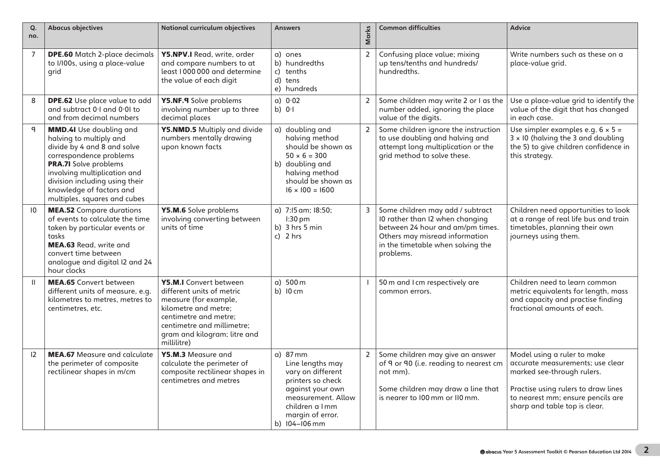| Q.<br>no.       | <b>Abacus objectives</b>                                                                                                                                                                                                                                                   | <b>National curriculum objectives</b>                                                                                                                                                                      | <b>Answers</b>                                                                                                                                                            | Marks          | <b>Common difficulties</b>                                                                                                                                                                  | <b>Advice</b>                                                                                                                                                                                              |
|-----------------|----------------------------------------------------------------------------------------------------------------------------------------------------------------------------------------------------------------------------------------------------------------------------|------------------------------------------------------------------------------------------------------------------------------------------------------------------------------------------------------------|---------------------------------------------------------------------------------------------------------------------------------------------------------------------------|----------------|---------------------------------------------------------------------------------------------------------------------------------------------------------------------------------------------|------------------------------------------------------------------------------------------------------------------------------------------------------------------------------------------------------------|
| $\overline{7}$  | <b>DPE.60</b> Match 2-place decimals<br>to I/I00s, using a place-value<br>qrid                                                                                                                                                                                             | <b>Y5.NPV.I</b> Read. write. order<br>and compare numbers to at<br>least I000000 and determine<br>the value of each digit                                                                                  | a) ones<br>b) hundredths<br>c) tenths<br>d) tens<br>e) hundreds                                                                                                           | $\mathsf{2}\,$ | Confusing place value; mixing<br>up tens/tenths and hundreds/<br>hundredths.                                                                                                                | Write numbers such as these on a<br>place-value grid.                                                                                                                                                      |
| 8               | <b>DPE.62</b> Use place value to add<br>and subtract 0.1 and 0.01 to<br>and from decimal numbers                                                                                                                                                                           | Y5.NF.9 Solve problems<br>involving number up to three<br>decimal places                                                                                                                                   | a) 0.02<br>b) $01$                                                                                                                                                        | $\overline{2}$ | Some children may write 2 or I as the<br>number added, ignoring the place<br>value of the digits.                                                                                           | Use a place-value grid to identify the<br>value of the digit that has changed<br>in each case.                                                                                                             |
| $\mathsf{q}$    | <b>MMD.4I</b> Use doubling and<br>halving to multiply and<br>divide by 4 and 8 and solve<br>correspondence problems<br>PRA.7I Solve problems<br>involving multiplication and<br>division including using their<br>knowledge of factors and<br>multiples, squares and cubes | Y5.NMD.5 Multiply and divide<br>numbers mentally drawing<br>upon known facts                                                                                                                               | a) doubling and<br>halving method<br>should be shown as<br>$50 \times 6 = 300$<br>b) doubling and<br>halving method<br>should be shown as<br>$16 \times 100 = 1600$       | $\overline{2}$ | Some children ignore the instruction<br>to use doubling and halving and<br>attempt long multiplication or the<br>grid method to solve these.                                                | Use simpler examples e.g. $6 \times 5 =$<br>$3 \times 10$ (halving the 3 and doubling<br>the 5) to give children confidence in<br>this strategy.                                                           |
| $\overline{10}$ | <b>MEA.52</b> Compare durations<br>of events to calculate the time<br>taken by particular events or<br>tasks<br><b>MEA.63</b> Read, write and<br>convert time between<br>analogue and digital I2 and 24<br>hour clocks                                                     | Y5.M.6 Solve problems<br>involving converting between<br>units of time                                                                                                                                     | a) 7:15 am; 18:50;<br>$1:30$ pm<br>b) $3 \text{ hrs } 5 \text{ min}$<br>c) $2 hrs$                                                                                        | 3              | Some children may add / subtract<br>10 rather than I2 when changing<br>between 24 hour and am/pm times.<br>Others may misread information<br>in the timetable when solving the<br>problems. | Children need opportunities to look<br>at a range of real life bus and train<br>timetables, planning their own<br>journeys using them.                                                                     |
| $\mathbf{H}$    | <b>MEA.65</b> Convert between<br>different units of measure, e.g.<br>kilometres to metres, metres to<br>centimetres, etc.                                                                                                                                                  | Y5.M.I Convert between<br>different units of metric<br>measure (for example,<br>kilometre and metre:<br>centimetre and metre:<br>centimetre and millimetre:<br>gram and kilogram; litre and<br>millilitre) | a) 500 m<br>b) 10 cm                                                                                                                                                      |                | 50 m and I cm respectively are<br>common errors.                                                                                                                                            | Children need to learn common<br>metric equivalents for length, mass<br>and capacity and practise finding<br>fractional amounts of each.                                                                   |
| 12              | <b>MEA.67</b> Measure and calculate<br>the perimeter of composite<br>rectilinear shapes in m/cm                                                                                                                                                                            | Y5.M.3 Measure and<br>calculate the perimeter of<br>composite rectilinear shapes in<br>centimetres and metres                                                                                              | $a)$ 87 mm<br>Line lengths may<br>vary on different<br>printers so check<br>against your own<br>measurement. Allow<br>children a Imm<br>margin of error.<br>b) 104-106 mm | $\overline{2}$ | Some children may give an answer<br>of 9 or 90 (i.e. reading to nearest cm<br>not mm).<br>Some children may draw a line that<br>is nearer to 100 mm or 110 mm.                              | Model using a ruler to make<br>accurate measurements; use clear<br>marked see-through rulers.<br>Practise using rulers to draw lines<br>to nearest mm; ensure pencils are<br>sharp and table top is clear. |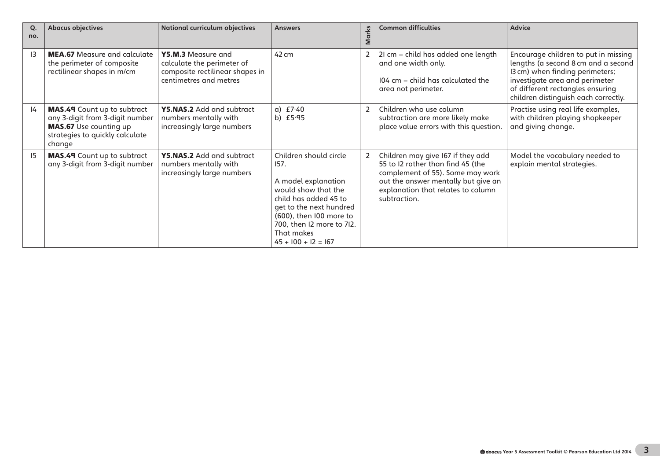| Q.<br>no. | <b>Abacus objectives</b>                                                                                                                     | <b>National curriculum objectives</b>                                                                         | <b>Answers</b>                                                                                                                                                                                                                  | <b>Marks</b>   | <b>Common difficulties</b>                                                                                                                                                                              | <b>Advice</b>                                                                                                                                                                                                                |
|-----------|----------------------------------------------------------------------------------------------------------------------------------------------|---------------------------------------------------------------------------------------------------------------|---------------------------------------------------------------------------------------------------------------------------------------------------------------------------------------------------------------------------------|----------------|---------------------------------------------------------------------------------------------------------------------------------------------------------------------------------------------------------|------------------------------------------------------------------------------------------------------------------------------------------------------------------------------------------------------------------------------|
| 13        | <b>MEA.67</b> Measure and calculate<br>the perimeter of composite<br>rectilinear shapes in m/cm                                              | Y5.M.3 Measure and<br>calculate the perimeter of<br>composite rectilinear shapes in<br>centimetres and metres | 42 cm                                                                                                                                                                                                                           |                | 21 cm - child has added one length<br>and one width only.<br>104 cm - child has calculated the<br>area not perimeter.                                                                                   | Encourage children to put in missing<br>lengths (a second 8 cm and a second<br>I3 cm) when finding perimeters;<br>investigate area and perimeter<br>of different rectangles ensuring<br>children distinguish each correctly. |
| 4         | <b>MAS.49</b> Count up to subtract<br>any 3-digit from 3-digit number<br>MAS.67 Use counting up<br>strategies to quickly calculate<br>change | Y5.NAS.2 Add and subtract<br>numbers mentally with<br>increasingly large numbers                              | a) $f7.40$<br>b) $£5.95$                                                                                                                                                                                                        | 2              | Children who use column<br>subtraction are more likely make<br>place value errors with this question.                                                                                                   | Practise using real life examples,<br>with children playing shopkeeper<br>and giving change.                                                                                                                                 |
| 15        | MAS.49 Count up to subtract<br>any 3-digit from 3-digit number                                                                               | Y5.NAS.2 Add and subtract<br>numbers mentally with<br>increasingly large numbers                              | Children should circle<br>157.<br>A model explanation<br>would show that the<br>child has added 45 to<br>get to the next hundred<br>(600), then I00 more to<br>700, then I2 more to 7I2.<br>That makes<br>$45 + 100 + 12 = 167$ | $\overline{2}$ | Children may give 167 if they add<br>55 to I2 rather than find 45 (the<br>complement of 55). Some may work<br>out the answer mentally but give an<br>explanation that relates to column<br>subtraction. | Model the vocabulary needed to<br>explain mental strategies.                                                                                                                                                                 |